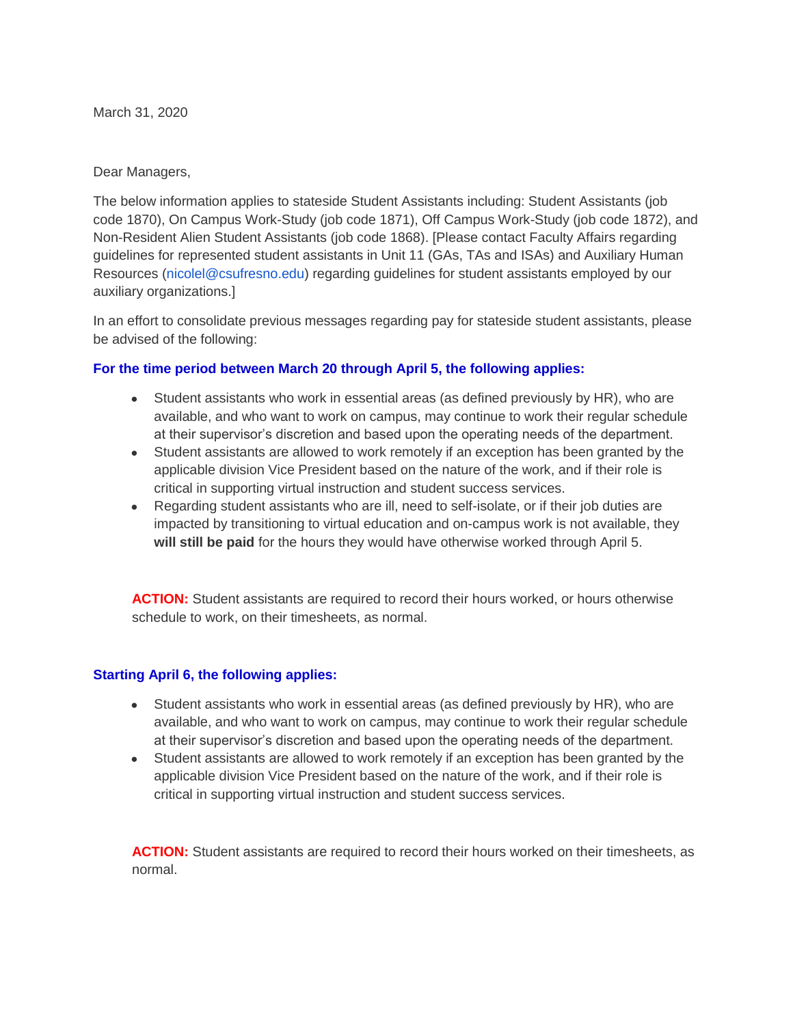March 31, 2020

Dear Managers,

The below information applies to stateside Student Assistants including: Student Assistants (job code 1870), On Campus Work-Study (job code 1871), Off Campus Work-Study (job code 1872), and Non-Resident Alien Student Assistants (job code 1868). [Please contact Faculty Affairs regarding guidelines for represented student assistants in Unit 11 (GAs, TAs and ISAs) and Auxiliary Human Resources (nicolel@csufresno.edu) regarding guidelines for student assistants employed by our auxiliary organizations.]

In an effort to consolidate previous messages regarding pay for stateside student assistants, please be advised of the following:

## **For the time period between March 20 through April 5, the following applies:**

- Student assistants who work in essential areas (as defined previously by HR), who are available, and who want to work on campus, may continue to work their regular schedule at their supervisor's discretion and based upon the operating needs of the department.
- Student assistants are allowed to work remotely if an exception has been granted by the applicable division Vice President based on the nature of the work, and if their role is critical in supporting virtual instruction and student success services.
- Regarding student assistants who are ill, need to self-isolate, or if their job duties are impacted by transitioning to virtual education and on-campus work is not available, they **will still be paid** for the hours they would have otherwise worked through April 5.

**ACTION:** Student assistants are required to record their hours worked, or hours otherwise schedule to work, on their timesheets, as normal.

## **Starting April 6, the following applies:**

- Student assistants who work in essential areas (as defined previously by HR), who are available, and who want to work on campus, may continue to work their regular schedule at their supervisor's discretion and based upon the operating needs of the department.
- Student assistants are allowed to work remotely if an exception has been granted by the applicable division Vice President based on the nature of the work, and if their role is critical in supporting virtual instruction and student success services.

ACTION: Student assistants are required to record their hours worked on their timesheets, as normal.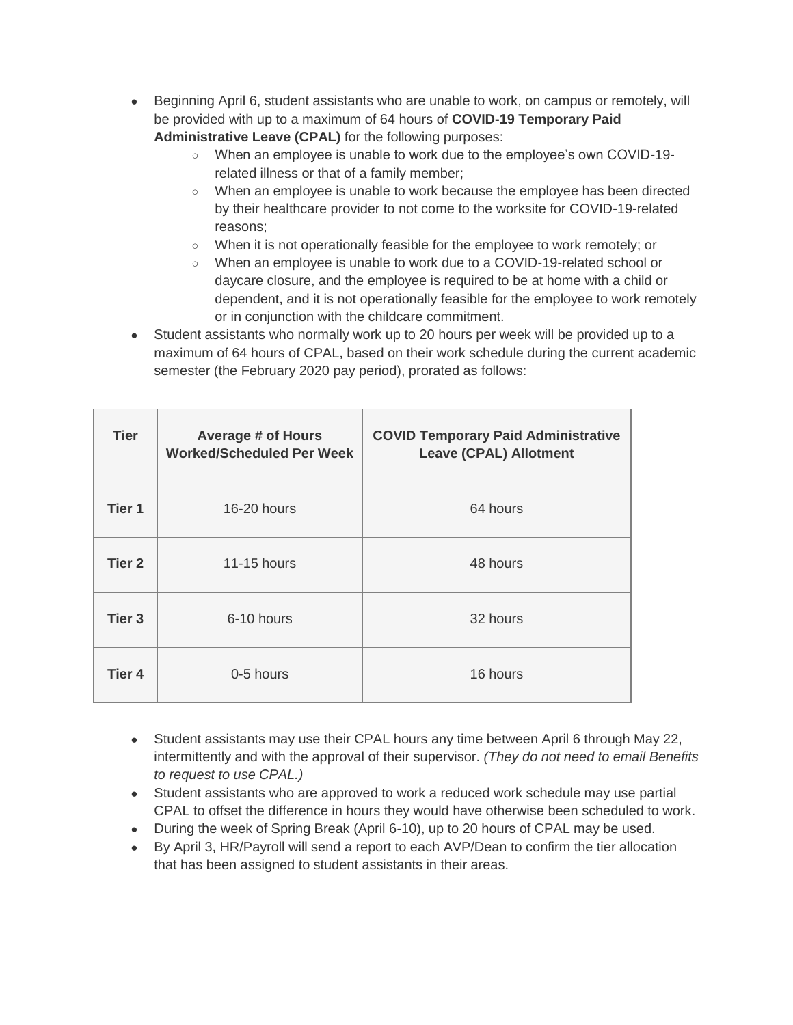- Beginning April 6, student assistants who are unable to work, on campus or remotely, will be provided with up to a maximum of 64 hours of **COVID-19 Temporary Paid Administrative Leave (CPAL)** for the following purposes:
	- When an employee is unable to work due to the employee's own COVID-19 related illness or that of a family member;
	- When an employee is unable to work because the employee has been directed by their healthcare provider to not come to the worksite for COVID-19-related reasons;
	- When it is not operationally feasible for the employee to work remotely; or
	- When an employee is unable to work due to a COVID-19-related school or daycare closure, and the employee is required to be at home with a child or dependent, and it is not operationally feasible for the employee to work remotely or in conjunction with the childcare commitment.
- Student assistants who normally work up to 20 hours per week will be provided up to a maximum of 64 hours of CPAL, based on their work schedule during the current academic semester (the February 2020 pay period), prorated as follows:

| <b>Tier</b>       | <b>Average # of Hours</b><br><b>Worked/Scheduled Per Week</b> | <b>COVID Temporary Paid Administrative</b><br><b>Leave (CPAL) Allotment</b> |
|-------------------|---------------------------------------------------------------|-----------------------------------------------------------------------------|
| Tier <sub>1</sub> | 16-20 hours                                                   | 64 hours                                                                    |
| Tier <sub>2</sub> | 11-15 hours                                                   | 48 hours                                                                    |
| Tier <sub>3</sub> | 6-10 hours                                                    | 32 hours                                                                    |
| Tier 4            | 0-5 hours                                                     | 16 hours                                                                    |

- Student assistants may use their CPAL hours any time between April 6 through May 22, intermittently and with the approval of their supervisor. *(They do not need to email Benefits to request to use CPAL.)*
- Student assistants who are approved to work a reduced work schedule may use partial CPAL to offset the difference in hours they would have otherwise been scheduled to work.
- During the week of Spring Break (April 6-10), up to 20 hours of CPAL may be used.
- By April 3, HR/Payroll will send a report to each AVP/Dean to confirm the tier allocation that has been assigned to student assistants in their areas.